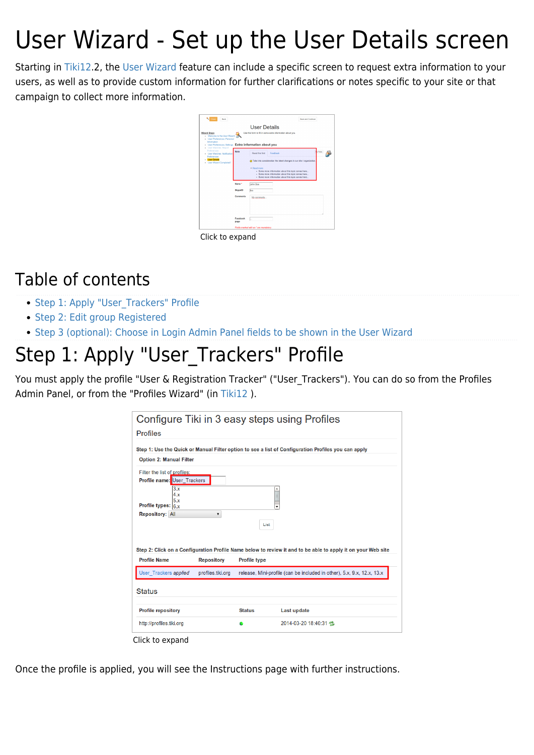# User Wizard - Set up the User Details screen

Starting in [Tiki12.](https://doc.tiki.org/Tiki12)2, the [User Wizard](https://doc.tiki.org/User-Wizard) feature can include a specific screen to request extra information to your users, as well as to provide custom information for further clarifications or notes specific to your site or that campaign to collect more information.

|                                                                                           |                   | <b>User Details</b>                                                    |
|-------------------------------------------------------------------------------------------|-------------------|------------------------------------------------------------------------|
| <b>Wizard Steps</b><br>- Welcome to the User Wizard<br><b>Liser Preferences: Personal</b> |                   | Use this form to fill in some extra information about you.             |
| Information                                                                               |                   |                                                                        |
| <b>User Watches: Report</b>                                                               |                   | - User Preferences: Settings Extra Information about you               |
| Preferences<br><b>Liser Watches: Notification</b><br>Preferences                          | Note              | o Taba<br>Read this first<br>Feedback                                  |
| - Lionr Datails<br><b>User Wizard Completed!</b><br>$\ddot{\phantom{a}}$                  |                   | Take into consideration the latest changes in our site / organization. |
|                                                                                           |                   | v Read more<br>· Some more information about this topic comes here     |
|                                                                                           |                   | · Some more information about this topic comes here                    |
|                                                                                           |                   | · Some more information about this toolc comes here                    |
|                                                                                           | Name <sup>*</sup> | <b>John Doe</b>                                                        |
|                                                                                           | SkypelD           | foo                                                                    |
|                                                                                           | Comments          | My comments                                                            |
|                                                                                           |                   |                                                                        |
|                                                                                           |                   |                                                                        |
|                                                                                           |                   |                                                                        |
|                                                                                           | Facebook<br>page  |                                                                        |
|                                                                                           |                   | Fields marked with an 1 are mandatory.                                 |

#### Table of contents

- Step 1: Apply "User Trackers" Profile
- [Step 2: Edit group Registered](#page--1-0)
- [Step 3 \(optional\): Choose in Login Admin Panel fields to be shown in the User Wizard](#page--1-0)

### Step 1: Apply "User Trackers" Profile

You must apply the profile "User & Registration Tracker" ("User Trackers"). You can do so from the Profiles Admin Panel, or from the "Profiles Wizard" (in [Tiki12](https://doc.tiki.org/Tiki12) ).

| Configure Tiki in 3 easy steps using Profiles                                    |                                        |                     |                                                                                                              |
|----------------------------------------------------------------------------------|----------------------------------------|---------------------|--------------------------------------------------------------------------------------------------------------|
| <b>Profiles</b>                                                                  |                                        |                     |                                                                                                              |
|                                                                                  |                                        |                     | Step 1: Use the Quick or Manual Filter option to see a list of Configuration Profiles you can apply          |
| <b>Option 2: Manual Filter</b>                                                   |                                        |                     |                                                                                                              |
| Filter the list of profiles:<br><b>Profile name:</b> User Trackers<br>3.x<br>4.x |                                        |                     | $\frac{1}{2}$                                                                                                |
| 5.x<br>Profile types: $6x$                                                       |                                        |                     |                                                                                                              |
|                                                                                  |                                        |                     |                                                                                                              |
| <b>Repository: All</b>                                                           | $\blacktriangledown$                   |                     |                                                                                                              |
|                                                                                  |                                        | List                |                                                                                                              |
| <b>Profile Name</b>                                                              |                                        |                     | Step 2: Click on a Configuration Profile Name below to review it and to be able to apply it on your Web site |
| User Trackers applied                                                            | <b>Repository</b><br>profiles.tiki.org | <b>Profile type</b> | release, Mini-profile (can be included in other), 5.x, 9.x, 12.x, 13.x                                       |
| <b>Status</b>                                                                    |                                        |                     |                                                                                                              |
| <b>Profile repository</b>                                                        |                                        | <b>Status</b>       | <b>Last update</b>                                                                                           |

Once the profile is applied, you will see the Instructions page with further instructions.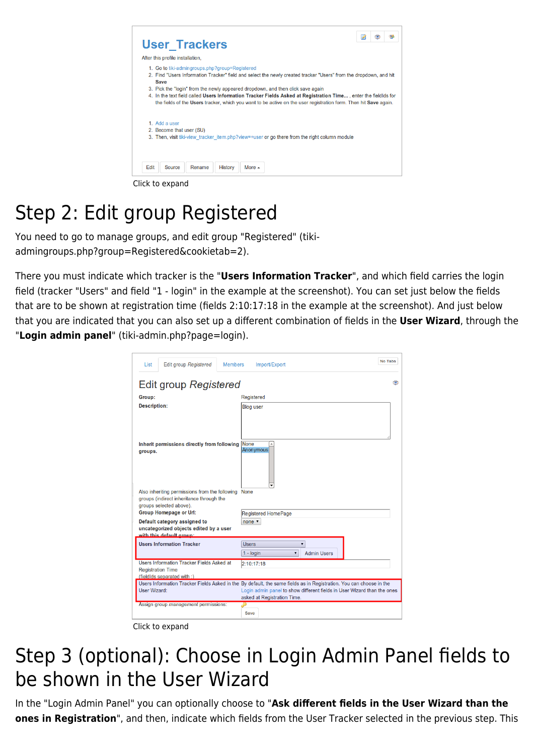| <b>User Trackers</b>                                                                                                                                                                                                                                                                                                                                                                                                                                                                                         | Q | Œ |  |
|--------------------------------------------------------------------------------------------------------------------------------------------------------------------------------------------------------------------------------------------------------------------------------------------------------------------------------------------------------------------------------------------------------------------------------------------------------------------------------------------------------------|---|---|--|
| After this profile installation,                                                                                                                                                                                                                                                                                                                                                                                                                                                                             |   |   |  |
| 1. Go to tiki-admingroups.php?group=Registered<br>2. Find "Users Information Tracker" field and select the newly created tracker "Users" from the dropdown, and hit<br><b>Save</b><br>3. Pick the "login" from the newly appeared dropdown, and then click save again<br>4. In the text field called Users Information Tracker Fields Asked at Registration Time, enter the fieldids for<br>the fields of the Users tracker, which you want to be active on the user registration form. Then hit Save again. |   |   |  |
| 1. Add a user<br>2. Become that user (SU)<br>3. Then, visit tiki-view tracker item.php?view=+user or go there from the right column module                                                                                                                                                                                                                                                                                                                                                                   |   |   |  |
| Edit<br><b>Source</b><br>Rename<br><b>History</b><br>More $\triangle$                                                                                                                                                                                                                                                                                                                                                                                                                                        |   |   |  |

Click to expand

## Step 2: Edit group Registered

You need to go to manage groups, and edit group "Registered" (tikiadmingroups.php?group=Registered&cookietab=2).

There you must indicate which tracker is the "**Users Information Tracker**", and which field carries the login field (tracker "Users" and field "1 - login" in the example at the screenshot). You can set just below the fields that are to be shown at registration time (fields 2:10:17:18 in the example at the screenshot). And just below that you are indicated that you can also set up a different combination of fields in the **User Wizard**, through the "**Login admin panel**" (tiki-admin.php?page=login).

| <b>Edit group Registered</b><br>List<br><b>Members</b>                                                                     | No Tabs<br>Import/Export                                                                                                                                                                                                      |  |  |  |
|----------------------------------------------------------------------------------------------------------------------------|-------------------------------------------------------------------------------------------------------------------------------------------------------------------------------------------------------------------------------|--|--|--|
| Edit group Registered                                                                                                      |                                                                                                                                                                                                                               |  |  |  |
| Group:                                                                                                                     | Registered                                                                                                                                                                                                                    |  |  |  |
| <b>Description:</b>                                                                                                        | <b>Blog user</b>                                                                                                                                                                                                              |  |  |  |
| Inherit permissions directly from following<br>groups.                                                                     | None<br><b>Anonymous</b>                                                                                                                                                                                                      |  |  |  |
| Also inheriting permissions from the following None<br>groups (indirect inheritance through the<br>groups selected above). |                                                                                                                                                                                                                               |  |  |  |
| Group Homepage or Url:                                                                                                     | <b>Registered HomePage</b>                                                                                                                                                                                                    |  |  |  |
| Default category assigned to<br>uncategorized objects edited by a user<br>with this default group:                         | none $\overline{v}$                                                                                                                                                                                                           |  |  |  |
| <b>Users Information Tracker</b>                                                                                           | <b>Users</b><br>▼<br><b>Admin Users</b><br>$1 -$ login<br>▼                                                                                                                                                                   |  |  |  |
| Users Information Tracker Fields Asked at<br><b>Registration Time</b><br>(fieldIds separated with :)                       | 2:10:17:18                                                                                                                                                                                                                    |  |  |  |
| <b>User Wizard:</b>                                                                                                        | Users Information Tracker Fields Asked in the By default, the same fields as in Registration. You can choose in the<br>Login admin panel to show different fields in User Wizard than the ones<br>asked at Registration Time. |  |  |  |
| Assign group management permissions:                                                                                       | دیک<br>Save                                                                                                                                                                                                                   |  |  |  |

Click to expand

#### Step 3 (optional): Choose in Login Admin Panel fields to be shown in the User Wizard

In the "Login Admin Panel" you can optionally choose to "**Ask different fields in the User Wizard than the ones in Registration**", and then, indicate which fields from the User Tracker selected in the previous step. This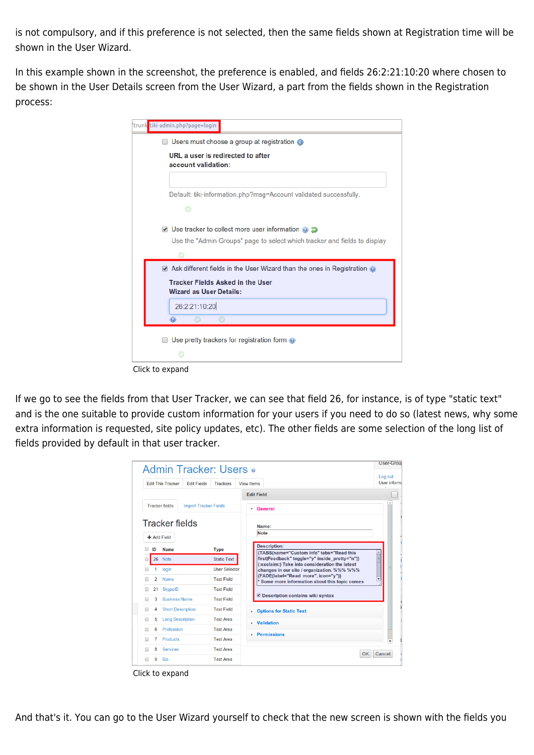is not compulsory, and if this preference is not selected, then the same fields shown at Registration time will be shown in the User Wizard.

In this example shown in the screenshot, the preference is enabled, and fields 26:2:21:10:20 where chosen to be shown in the User Details screen from the User Wizard, a part from the fields shown in the Registration process:

| trunk <mark>'</mark> tiki-admin.php?page=login                            |
|---------------------------------------------------------------------------|
| Users must choose a group at registration @                               |
| URL a user is redirected to after<br>account validation:                  |
| Default: tiki-information.php?msg=Account validated successfully.         |
|                                                                           |
| ■ Use tracker to collect more user information ● ■                        |
| Use the "Admin Groups" page to select which tracker and fields to display |
|                                                                           |
| Ask different fields in the User Wizard than the ones in Registration @   |
| <b>Tracker Fields Asked in the User</b><br><b>Wizard as User Details:</b> |
| 26:2:21:10:20                                                             |
| $\circ$                                                                   |
| Use pretty trackers for registration form @                               |
|                                                                           |
|                                                                           |

If we go to see the fields from that User Tracker, we can see that field 26, for instance, is of type "static text" and is the one suitable to provide custom information for your users if you need to do so (latest news, why some extra information is requested, site policy updates, etc). The other fields are some selection of the long list of fields provided by default in that user tracker.

|                                                                                                    |                                      |                              |                      |                                                                                                  | <b>User-Grou</b>        |  |
|----------------------------------------------------------------------------------------------------|--------------------------------------|------------------------------|----------------------|--------------------------------------------------------------------------------------------------|-------------------------|--|
| <b>Admin Tracker: Users o</b><br><b>Edit This Tracker</b><br><b>Edit Fields</b><br><b>Trackers</b> |                                      |                              |                      | <b>View Items</b>                                                                                | Log out<br>User inform. |  |
|                                                                                                    |                                      |                              |                      | <b>Edit Field</b>                                                                                |                         |  |
|                                                                                                    | <b>Tracker fields</b>                | <b>Import Tracker Fields</b> |                      | General<br>۰                                                                                     |                         |  |
|                                                                                                    | <b>Tracker fields</b><br>+ Add Field |                              |                      | Name:<br><b>Note</b><br><b>Description:</b>                                                      |                         |  |
| ID                                                                                                 | <b>Name</b>                          |                              | <b>Type</b>          | {TABS(name="Custom info" tabs="Read this                                                         |                         |  |
|                                                                                                    | 26<br><b>Note</b>                    |                              | <b>Static Text</b>   | first Feedback" toggle="y" inside pretty="n")}<br>(:exclaim:) Take into consideration the latest |                         |  |
|                                                                                                    | login                                |                              | <b>User Selector</b> | changes in our site / organization. %%% %%%                                                      |                         |  |
|                                                                                                    | $\overline{2}$<br>Name               |                              | <b>Text Field</b>    | {FADE(label="Read more", icon="y")}<br>Some more information about this topic comes              |                         |  |
|                                                                                                    | 21<br><b>SkypeID</b>                 |                              | <b>Text Field</b>    |                                                                                                  |                         |  |
|                                                                                                    | <b>Business Name</b><br>3            |                              | <b>Text Field</b>    | <b>Description contains wiki syntax</b>                                                          |                         |  |
|                                                                                                    | <b>Short Description</b><br>4        |                              | <b>Text Field</b>    | <b>Options for Static Text</b><br>k.                                                             |                         |  |
|                                                                                                    | <b>Long Description</b><br>5         |                              | <b>Text Area</b>     | <b>Validation</b><br>k.                                                                          |                         |  |
|                                                                                                    | Profession<br>6                      |                              | <b>Text Area</b>     | <b>Permissions</b>                                                                               |                         |  |
|                                                                                                    | <b>Products</b><br>7                 |                              | <b>Text Area</b>     |                                                                                                  |                         |  |
|                                                                                                    | <b>Services</b><br>8                 |                              | <b>Text Area</b>     | OK                                                                                               | Cancel                  |  |
|                                                                                                    | 9<br><b>Bio</b>                      |                              | <b>Text Area</b>     |                                                                                                  |                         |  |

Click to expand